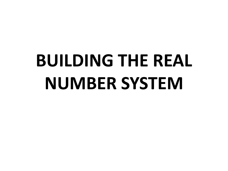# **BUILDING THE REAL NUMBER SYSTEM**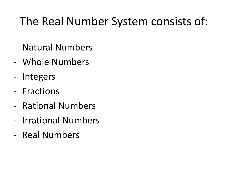### The Real Number System consists of:

- Natural Numbers
- Whole Numbers
- Integers
- Fractions
- Rational Numbers
- Irrational Numbers
- Real Numbers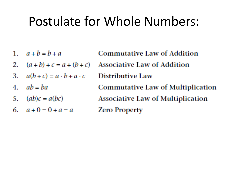### Postulate for Whole Numbers:

- 1.  $a + b = b + a$
- $(a + b) + c = a + (b + c)$ 2.
- $a(b+c) = a \cdot b + a \cdot c$ З.
- $ab = ba$ 4.
- 5.  $(ab)c = a(bc)$
- 6.  $a+0=0+a=a$

**Commutative Law of Addition Associative Law of Addition** Distributive Law **Commutative Law of Multiplication Associative Law of Multiplication Zero Property**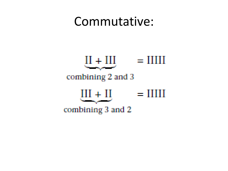### Commutative:

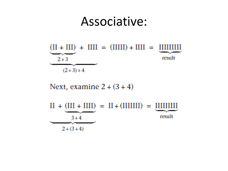### Associative:



Next, examine  $2 + (3 + 4)$ 

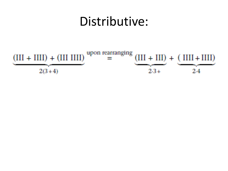### Distributive:

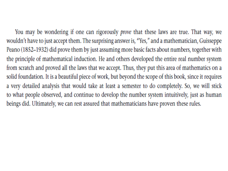You may be wondering if one can rigorously *prove* that these laws are true. That way, we wouldn't have to just accept them. The surprising answer is, "Yes," and a mathematician, Guisseppe Peano (1852-1932) did prove them by just assuming more basic facts about numbers, together with the principle of mathematical induction. He and others developed the entire real number system from scratch and proved all the laws that we accept. Thus, they put this area of mathematics on a solid foundation. It is a beautiful piece of work, but beyond the scope of this book, since it requires a very detailed analysis that would take at least a semester to do completely. So, we will stick to what people observed, and continue to develop the number system intuitively, just as human beings did. Ultimately, we can rest assured that mathematicians have proven these rules.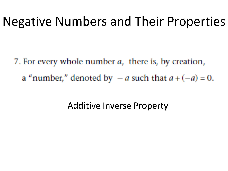### Negative Numbers and Their Properties

7. For every whole number *a*, there is, by creation, a "number," denoted by  $-a$  such that  $a + (-a) = 0$ .

Additive Inverse Property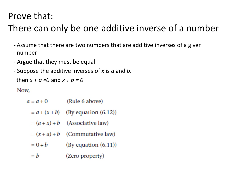#### Prove that:

### There can only be one additive inverse of a number

- Assume that there are two numbers that are additive inverses of a given number
- Argue that they must be equal
- Suppose the additive inverses of *x* is *a* and *b,*

then  $x + a = 0$  and  $x + b = 0$ 

Now,

| $a = a + 0$     | (Rule 6 above)          |
|-----------------|-------------------------|
| $= a + (x + b)$ | (By equation $(6.12)$ ) |
| $=(a + x) + b$  | (Associative law)       |
| $=(x + a) + b$  | (Commutative law)       |
| $= 0 + b$       | By equation (6.11)      |
| $= h$           | (Zero property)         |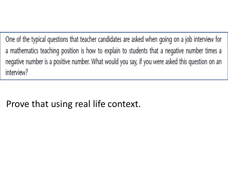One of the typical questions that teacher candidates are asked when going on a job interview for a mathematics teaching position is how to explain to students that a negative number times a negative number is a positive number. What would you say, if you were asked this question on an interview?

#### Prove that using real life context.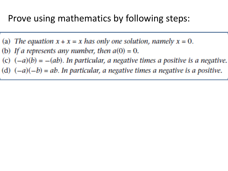#### Prove using mathematics by following steps:

- (a) The equation  $x + x = x$  has only one solution, namely  $x = 0$ .
- (b) If a represents any number, then  $a(0) = 0$ .
- (c)  $(-a)(b) = -(ab)$ . In particular, a negative times a positive is a negative.
- (d)  $(-a)(-b) = ab$ . In particular, a negative times a negative is a positive.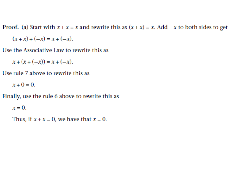Proof. (a) Start with  $x + x = x$  and rewrite this as  $(x + x) = x$ . Add  $-x$  to both sides to get

 $(x + x) + (-x) = x + (-x)$ .

Use the Associative Law to rewrite this as

 $x + (x + (-x)) = x + (-x)$ .

Use rule 7 above to rewrite this as

 $x + 0 = 0$ .

Finally, use the rule 6 above to rewrite this as

 $x=0$ .

Thus, if  $x + x = 0$ , we have that  $x = 0$ .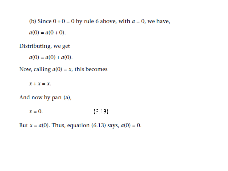(b) Since  $0 + 0 = 0$  by rule 6 above, with  $a = 0$ , we have,  $a(0) = a(0 + 0)$ .

#### Distributing, we get

 $a(0) = a(0) + a(0)$ .

Now, calling  $a(0) = x$ , this becomes

 $x + x = x$ .

And now by part (a),

 $x=0$ .  $(6.13)$ 

But  $x = a(0)$ . Thus, equation (6.13) says,  $a(0) = 0$ .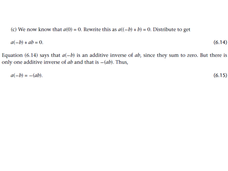(c) We now know that  $a(0) = 0$ . Rewrite this as  $a((-b) + b) = 0$ . Distribute to get

$$
a(-b) + ab = 0. \tag{6.14}
$$

Equation (6.14) says that  $a(-b)$  is an additive inverse of ab, since they sum to zero. But there is only one additive inverse of  $ab$  and that is  $-(ab)$ . Thus,

$$
a(-b) = -(ab). \tag{6.15}
$$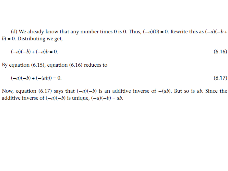(d) We already know that any number times 0 is 0. Thus,  $(-a)(0) = 0$ . Rewrite this as  $(-a)(-b +$  $b$ ) = 0. Distributing we get,

$$
(-a)(-b) + (-a)b = 0.\tag{6.16}
$$

By equation  $(6.15)$ , equation  $(6.16)$  reduces to

$$
(-a)(-b) + (- (ab)) = 0. \tag{6.17}
$$

Now, equation (6.17) says that  $(-a)(-b)$  is an additive inverse of  $-(ab)$ . But so is ab. Since the additive inverse of  $(-a)(-b)$  is unique,  $(-a)(-b) = ab$ .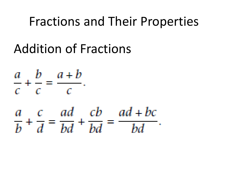### Fractions and Their Properties

## Addition of Fractions

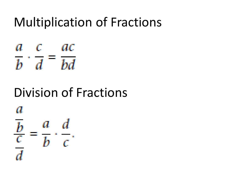### Multiplication of Fractions

a cac  $\overline{b} \cdot \overline{d} = \overline{bd}$ 

### Division of Fractions

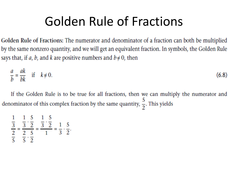### Golden Rule of Fractions

Golden Rule of Fractions: The numerator and denominator of a fraction can both be multiplied by the same nonzero quantity, and we will get an equivalent fraction. In symbols, the Golden Rule says that, if *a*, *b*, and *k* are positive numbers and  $b \neq 0$ , then

$$
\frac{a}{b} = \frac{ak}{bk} \quad \text{if} \quad k \neq 0. \tag{6.8}
$$

If the Golden Rule is to be true for all fractions, then we can multiply the numerator and denominator of this complex fraction by the same quantity,  $\frac{5}{2}$ . This yields

$$
\frac{\frac{1}{3}}{\frac{2}{5}} = \frac{\frac{1}{3} \cdot \frac{5}{2}}{\frac{2}{5} \cdot \frac{5}{2}} = \frac{\frac{1}{3} \cdot \frac{5}{2}}{\frac{1}{1}} = \frac{1}{3} \cdot \frac{5}{2}.
$$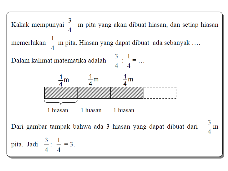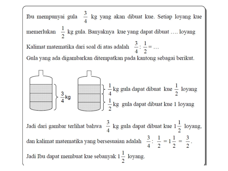Ibu mempunyai gula  $\frac{3}{4}$  kg yang akan dibuat kue. Setiap loyang kue memerlukan  $\frac{1}{2}$  kg gula. Banyaknya kue yang dapat dibuat .... loyang Kalimat matematika dari soal di atas adalah  $\frac{3}{4}$ :  $\frac{1}{2}$  = ... Gula yang ada digambarkan ditempatkan pada kantong sebagai berikut.  $\frac{1}{4}$  kg gula dapat dibuat kue  $\frac{1}{2}$  loyang  $\frac{3}{4}$ kg  $\frac{1}{2}$  kg gula dapat dibuat kue 1 loyang Jadi dari gambar terlihat bahwa  $\frac{3}{4}$  kg gula dapat dibuat kue  $1\frac{1}{2}$  loyang, dan kalimat matematika yang bersesuaian adalah  $\frac{3}{4}$ :  $\frac{1}{2} = 1\frac{1}{2} = \frac{3}{2}$ . Jadi Ibu dapat membuat kue sebanyak  $1\frac{1}{2}$  loyang.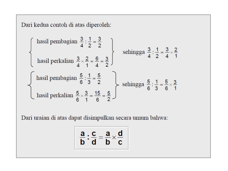Dari kedua contoh di atas diperoleh:

$$
\left\{\begin{array}{c}\text{hasil pembagian } \frac{3}{4} : \frac{1}{2} = \frac{3}{2} \\\\ \text{hasil perkalian } \frac{3}{4} \times \frac{2}{1} = \frac{6}{4} = \frac{3}{2}\end{array}\right\} \quad \text{sehingga } \frac{3}{4} : \frac{1}{2} = \frac{3}{4} \times \frac{2}{1}
$$
\n
$$
\left\{\begin{array}{c}\text{hasil pembagian } \frac{5}{6} : \frac{1}{3} = \frac{5}{2} \\\\ \text{hasil perkalian } \frac{5}{6} \times \frac{3}{1} = \frac{15}{6} = \frac{5}{2}\end{array}\right\} \quad \text{sehingga } \frac{5}{6} : \frac{1}{3} = \frac{5}{6} \times \frac{3}{1}
$$

Dari uraian di atas dapat disimpulkan secara umum bahwa:

$$
\frac{a}{b}:\frac{c}{d}=\frac{a}{b}\times\frac{d}{c}
$$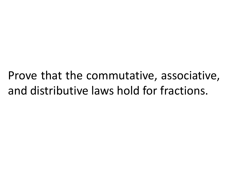Prove that the commutative, associative, and distributive laws hold for fractions.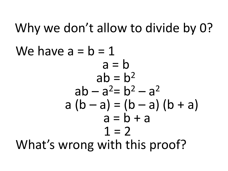Why we don't allow to divide by 0? We have  $a = b = 1$  $a = b$  $ab = b^2$  $ab - a^2 = b^2 - a^2$  $a (b - a) = (b - a) (b + a)$  $a = b + a$  $1 = 2$ What's wrong with this proof?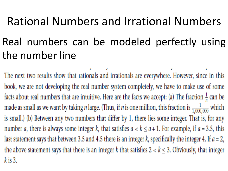### Rational Numbers and Irrational Numbers

### Real numbers can be modeled perfectly using the number line

The next two results show that rationals and irrationals are everywhere. However, since in this book, we are not developing the real number system completely, we have to make use of some facts about real numbers that are intuitive. Here are the facts we accept: (a) The fraction  $\frac{1}{n}$  can be made as small as we want by taking *n* large. (Thus, if *n* is one million, this fraction is  $\frac{1}{1,000,000}$  which is small.) (b) Between any two numbers that differ by 1, there lies some integer. That is, for any number *a*, there is always some integer *k*, that satisfies  $a < k \le a + 1$ . For example, if  $a = 3.5$ , this last statement says that between 3.5 and 4.5 there is an integer  $k$ , specifically the integer 4. If  $a = 2$ , the above statement says that there is an integer k that satisfies  $2 < k \le 3$ . Obviously, that integer  $k$  is 3.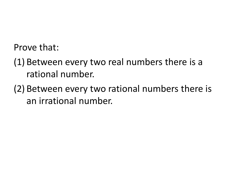Prove that:

- (1) Between every two real numbers there is a rational number.
- (2) Between every two rational numbers there is an irrational number.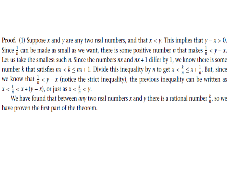Proof. (1) Suppose x and y are any two real numbers, and that  $x < y$ . This implies that  $y - x > 0$ . Since  $\frac{1}{n}$  can be made as small as we want, there is some positive number *n* that makes  $\frac{1}{n} < y - x$ . Let us take the smallest such *n*. Since the numbers  $nx$  and  $nx + 1$  differ by 1, we know there is some number k that satisfies  $nx < k \le nx + 1$ . Divide this inequality by n to get  $x < \frac{k}{n} \le x + \frac{1}{n}$ . But, since we know that  $\frac{1}{n} < y - x$  (notice the strict inequality), the previous inequality can be written as  $x < \frac{k}{n} < x + (y - x)$ , or just as  $x < \frac{k}{n} < y$ .

We have found that between *any* two real numbers x and y there is a rational number  $\frac{k}{n}$ , so we have proven the first part of the theorem.